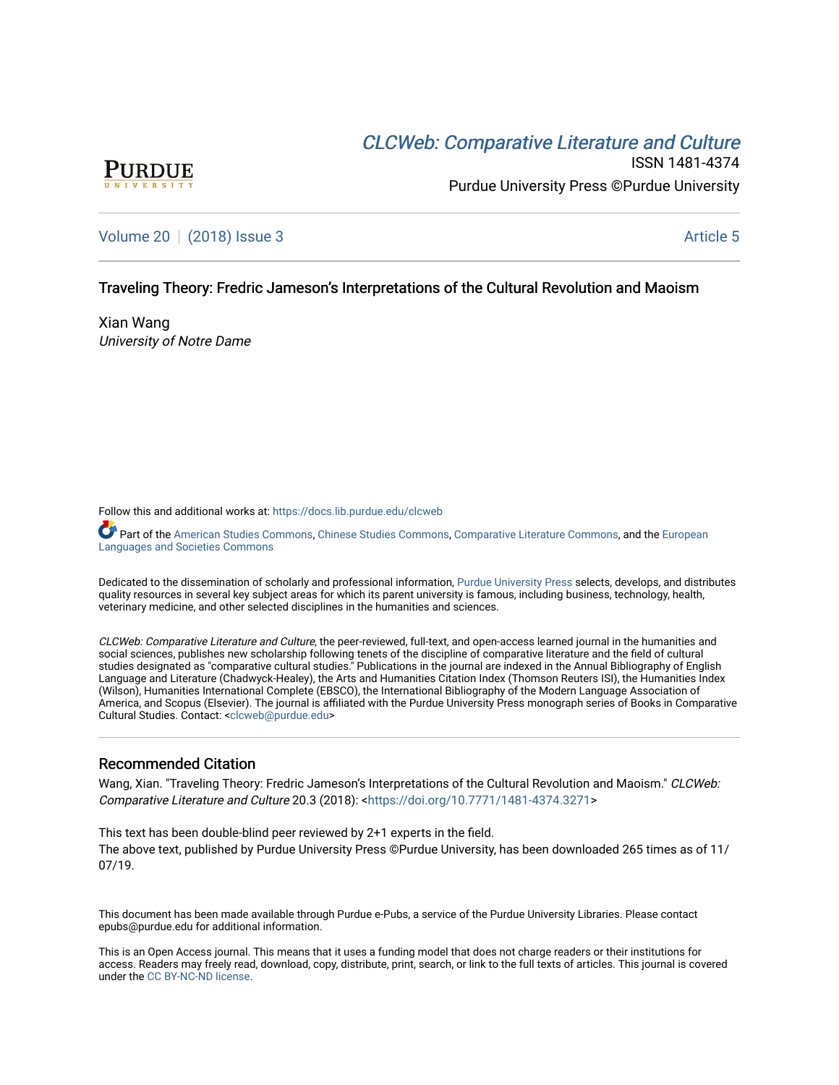# CLCW[eb: Comparative Liter](https://docs.lib.purdue.edu/clcweb)ature and Culture



ISSN 1481-4374 Purdue University Press ©Purdue University

# [Volume 20](https://docs.lib.purdue.edu/clcweb/vol20) | [\(2018\) Issue 3](https://docs.lib.purdue.edu/clcweb/vol20/iss3) Article 5

### Traveling Theory: Fredric Jameson's Interpretations of the Cultural Revolution and Maoism

Xian Wang University of Notre Dame

Follow this and additional works at: [https://docs.lib.purdue.edu/clcweb](https://docs.lib.purdue.edu/clcweb?utm_source=docs.lib.purdue.edu%2Fclcweb%2Fvol20%2Fiss3%2F5&utm_medium=PDF&utm_campaign=PDFCoverPages)

Part of the [American Studies Commons](http://network.bepress.com/hgg/discipline/439?utm_source=docs.lib.purdue.edu%2Fclcweb%2Fvol20%2Fiss3%2F5&utm_medium=PDF&utm_campaign=PDFCoverPages), [Chinese Studies Commons,](http://network.bepress.com/hgg/discipline/1081?utm_source=docs.lib.purdue.edu%2Fclcweb%2Fvol20%2Fiss3%2F5&utm_medium=PDF&utm_campaign=PDFCoverPages) [Comparative Literature Commons](http://network.bepress.com/hgg/discipline/454?utm_source=docs.lib.purdue.edu%2Fclcweb%2Fvol20%2Fiss3%2F5&utm_medium=PDF&utm_campaign=PDFCoverPages), and the [European](http://network.bepress.com/hgg/discipline/482?utm_source=docs.lib.purdue.edu%2Fclcweb%2Fvol20%2Fiss3%2F5&utm_medium=PDF&utm_campaign=PDFCoverPages) [Languages and Societies Commons](http://network.bepress.com/hgg/discipline/482?utm_source=docs.lib.purdue.edu%2Fclcweb%2Fvol20%2Fiss3%2F5&utm_medium=PDF&utm_campaign=PDFCoverPages) 

Dedicated to the dissemination of scholarly and professional information, [Purdue University Press](http://www.thepress.purdue.edu/) selects, develops, and distributes quality resources in several key subject areas for which its parent university is famous, including business, technology, health, veterinary medicine, and other selected disciplines in the humanities and sciences.

CLCWeb: Comparative Literature and Culture, the peer-reviewed, full-text, and open-access learned journal in the humanities and social sciences, publishes new scholarship following tenets of the discipline of comparative literature and the field of cultural studies designated as "comparative cultural studies." Publications in the journal are indexed in the Annual Bibliography of English Language and Literature (Chadwyck-Healey), the Arts and Humanities Citation Index (Thomson Reuters ISI), the Humanities Index (Wilson), Humanities International Complete (EBSCO), the International Bibliography of the Modern Language Association of America, and Scopus (Elsevier). The journal is affiliated with the Purdue University Press monograph series of Books in Comparative Cultural Studies. Contact: [<clcweb@purdue.edu](mailto:clcweb@purdue.edu)>

### Recommended Citation

Wang, Xian. "Traveling Theory: Fredric Jameson's Interpretations of the Cultural Revolution and Maoism." CLCWeb: Comparative Literature and Culture 20.3 (2018): <<https://doi.org/10.7771/1481-4374.3271>>

This text has been double-blind peer reviewed by 2+1 experts in the field. The above text, published by Purdue University Press ©Purdue University, has been downloaded 265 times as of 11/ 07/19.

This document has been made available through Purdue e-Pubs, a service of the Purdue University Libraries. Please contact epubs@purdue.edu for additional information.

This is an Open Access journal. This means that it uses a funding model that does not charge readers or their institutions for access. Readers may freely read, download, copy, distribute, print, search, or link to the full texts of articles. This journal is covered under the [CC BY-NC-ND license.](https://creativecommons.org/licenses/by-nc-nd/4.0/)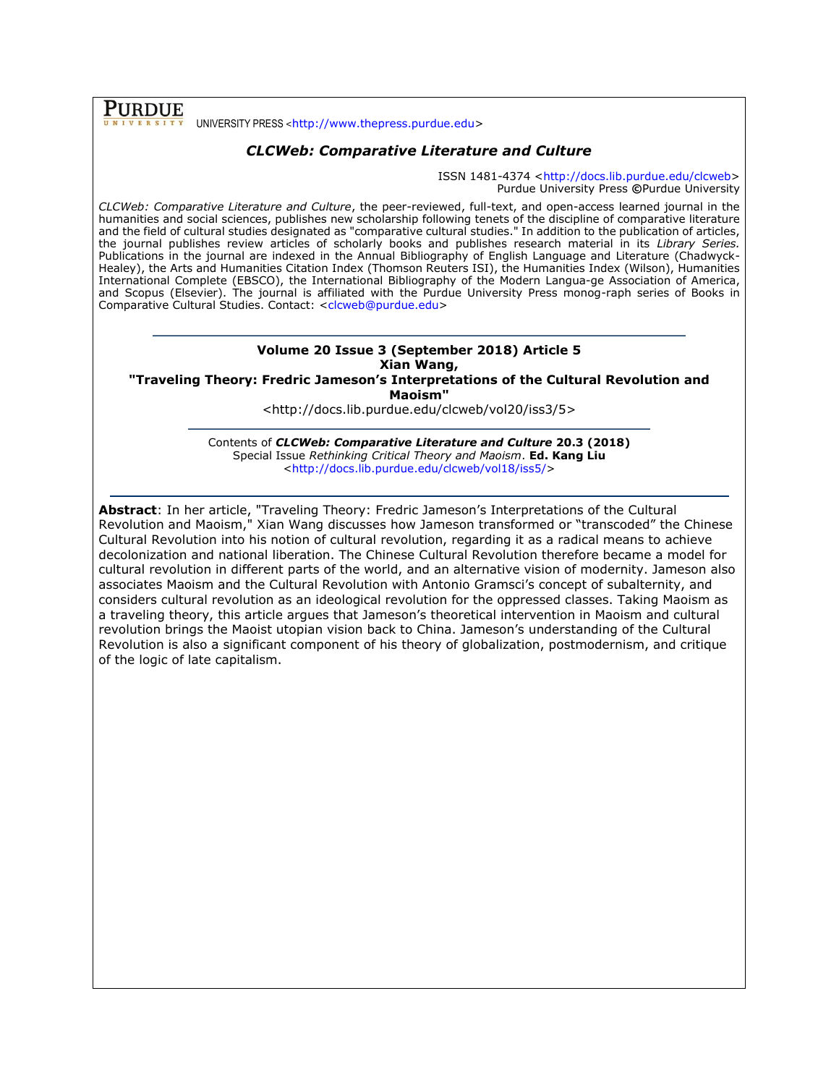**PURDUE** UNIVERSITY PRESS <[http://www.thepress.purdue.edu>](http://www.thepress.purdue.edu/)

# *CLCWeb: Comparative Literature and Culture*

ISSN 1481-4374 [<http://docs.lib.purdue.edu/clcweb>](http://docs.lib.purdue.edu/clcweb) Purdue University Press **©**Purdue University

*CLCWeb: Comparative Literature and Culture*, the peer-reviewed, full-text, and open-access learned journal in the humanities and social sciences, publishes new scholarship following tenets of the discipline of comparative literature and the field of cultural studies designated as "comparative cultural studies." In addition to the publication of articles, the journal publishes review articles of scholarly books and publishes research material in its *Library Series.*  Publications in the journal are indexed in the Annual Bibliography of English Language and Literature (Chadwyck-Healey), the Arts and Humanities Citation Index (Thomson Reuters ISI), the Humanities Index (Wilson), Humanities International Complete (EBSCO), the International Bibliography of the Modern Langua-ge Association of America, and Scopus (Elsevier). The journal is affiliated with the Purdue University Press monog-raph series of Books in Comparative Cultural Studies. Contact: [<clcweb@purdue.edu>](mailto:clcweb@purdue.edu)

#### **Volume 20 Issue 3 (September 2018) Article 5 Xian Wang,**

**"Traveling Theory: Fredric Jameson's Interpretations of the Cultural Revolution and Maoism"**

<http://docs.lib.purdue.edu/clcweb/vol20/iss3/5>

Contents of *CLCWeb: Comparative Literature and Culture* **20.3 (2018)** Special Issue *Rethinking Critical Theory and Maoism*. **Ed. Kang Liu** [<http://docs.lib.purdue.edu/clcweb/vol18/iss5/>](http://docs.lib.purdue.edu/clcweb/vol18/iss5/)

**Abstract**: In her article, "Traveling Theory: Fredric Jameson's Interpretations of the Cultural Revolution and Maoism," Xian Wang discusses how Jameson transformed or "transcoded" the Chinese Cultural Revolution into his notion of cultural revolution, regarding it as a radical means to achieve decolonization and national liberation. The Chinese Cultural Revolution therefore became a model for cultural revolution in different parts of the world, and an alternative vision of modernity. Jameson also associates Maoism and the Cultural Revolution with Antonio Gramsci's concept of subalternity, and considers cultural revolution as an ideological revolution for the oppressed classes. Taking Maoism as a traveling theory, this article argues that Jameson's theoretical intervention in Maoism and cultural revolution brings the Maoist utopian vision back to China. Jameson's understanding of the Cultural Revolution is also a significant component of his theory of globalization, postmodernism, and critique of the logic of late capitalism.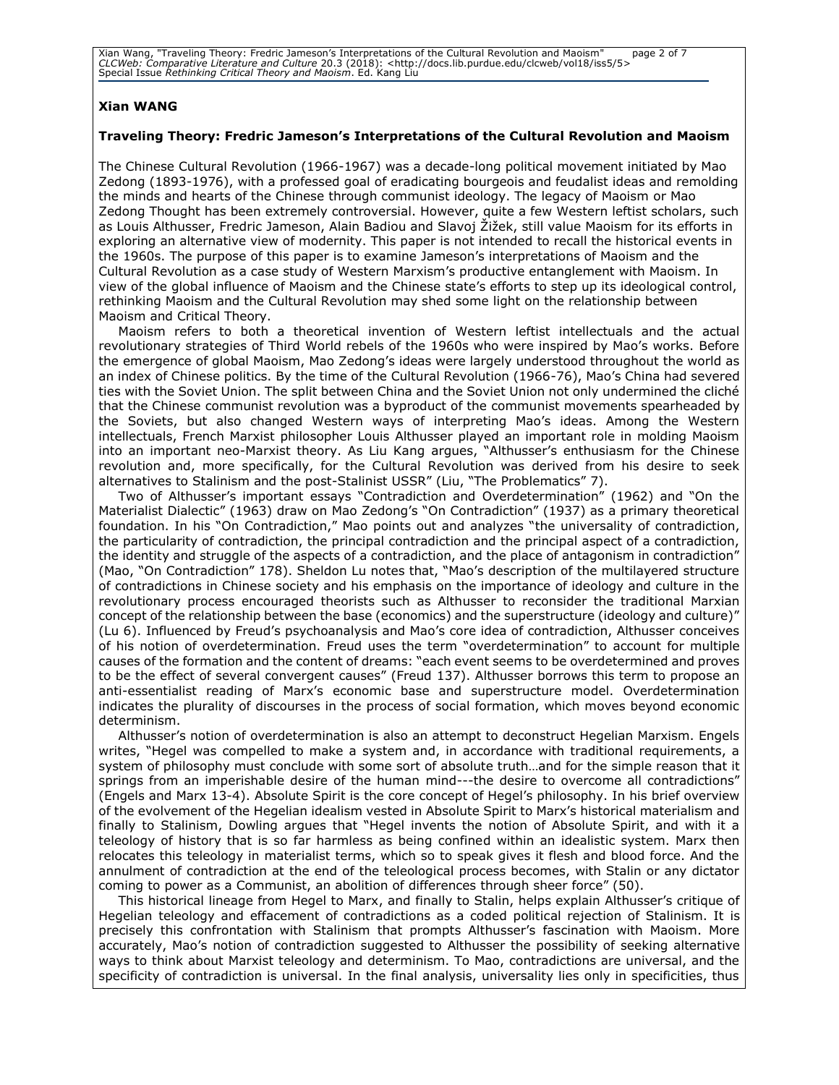Xian Wang, "Traveling Theory: Fredric Jameson's Interpretations of the Cultural Revolution and Maoism" page 2 of 7<br>CLCWeb: Comparative Literature and Culture 20.3 (2018): <http://docs.lib.purdue.edu/clcweb/vol18/iss5/5><br>

### **Xian WANG**

#### **Traveling Theory: Fredric Jameson's Interpretations of the Cultural Revolution and Maoism**

The Chinese Cultural Revolution (1966-1967) was a decade-long political movement initiated by Mao Zedong (1893-1976), with a professed goal of eradicating bourgeois and feudalist ideas and remolding the minds and hearts of the Chinese through communist ideology. The legacy of Maoism or Mao Zedong Thought has been extremely controversial. However, quite a few Western leftist scholars, such as Louis Althusser, Fredric Jameson, Alain Badiou and Slavoj Žižek, still value Maoism for its efforts in exploring an alternative view of modernity. This paper is not intended to recall the historical events in the 1960s. The purpose of this paper is to examine Jameson's interpretations of Maoism and the Cultural Revolution as a case study of Western Marxism's productive entanglement with Maoism. In view of the global influence of Maoism and the Chinese state's efforts to step up its ideological control, rethinking Maoism and the Cultural Revolution may shed some light on the relationship between Maoism and Critical Theory.

Maoism refers to both a theoretical invention of Western leftist intellectuals and the actual revolutionary strategies of Third World rebels of the 1960s who were inspired by Mao's works. Before the emergence of global Maoism, Mao Zedong's ideas were largely understood throughout the world as an index of Chinese politics. By the time of the Cultural Revolution (1966-76), Mao's China had severed ties with the Soviet Union. The split between China and the Soviet Union not only undermined the cliché that the Chinese communist revolution was a byproduct of the communist movements spearheaded by the Soviets, but also changed Western ways of interpreting Mao's ideas. Among the Western intellectuals, French Marxist philosopher Louis Althusser played an important role in molding Maoism into an important neo-Marxist theory. As Liu Kang argues, "Althusser's enthusiasm for the Chinese revolution and, more specifically, for the Cultural Revolution was derived from his desire to seek alternatives to Stalinism and the post-Stalinist USSR" (Liu, "The Problematics" 7).

Two of Althusser's important essays "Contradiction and Overdetermination" (1962) and "On the Materialist Dialectic" (1963) draw on Mao Zedong's "On Contradiction" (1937) as a primary theoretical foundation. In his "On Contradiction," Mao points out and analyzes "the universality of contradiction, the particularity of contradiction, the principal contradiction and the principal aspect of a contradiction, the identity and struggle of the aspects of a contradiction, and the place of antagonism in contradiction" (Mao, "On Contradiction" 178). Sheldon Lu notes that, "Mao's description of the multilayered structure of contradictions in Chinese society and his emphasis on the importance of ideology and culture in the revolutionary process encouraged theorists such as Althusser to reconsider the traditional Marxian concept of the relationship between the base (economics) and the superstructure (ideology and culture)" (Lu 6). Influenced by Freud's psychoanalysis and Mao's core idea of contradiction, Althusser conceives of his notion of overdetermination. Freud uses the term "overdetermination" to account for multiple causes of the formation and the content of dreams: "each event seems to be overdetermined and proves to be the effect of several convergent causes" (Freud 137). Althusser borrows this term to propose an anti-essentialist reading of Marx's economic base and superstructure model. Overdetermination indicates the plurality of discourses in the process of social formation, which moves beyond economic determinism.

Althusser's notion of overdetermination is also an attempt to deconstruct Hegelian Marxism. Engels writes, "Hegel was compelled to make a system and, in accordance with traditional requirements, a system of philosophy must conclude with some sort of absolute truth…and for the simple reason that it springs from an imperishable desire of the human mind---the desire to overcome all contradictions" (Engels and Marx 13-4). Absolute Spirit is the core concept of Hegel's philosophy. In his brief overview of the evolvement of the Hegelian idealism vested in Absolute Spirit to Marx's historical materialism and finally to Stalinism, Dowling argues that "Hegel invents the notion of Absolute Spirit, and with it a teleology of history that is so far harmless as being confined within an idealistic system. Marx then relocates this teleology in materialist terms, which so to speak gives it flesh and blood force. And the annulment of contradiction at the end of the teleological process becomes, with Stalin or any dictator coming to power as a Communist, an abolition of differences through sheer force" (50).

This historical lineage from Hegel to Marx, and finally to Stalin, helps explain Althusser's critique of Hegelian teleology and effacement of contradictions as a coded political rejection of Stalinism. It is precisely this confrontation with Stalinism that prompts Althusser's fascination with Maoism. More accurately, Mao's notion of contradiction suggested to Althusser the possibility of seeking alternative ways to think about Marxist teleology and determinism. To Mao, contradictions are universal, and the specificity of contradiction is universal. In the final analysis, universality lies only in specificities, thus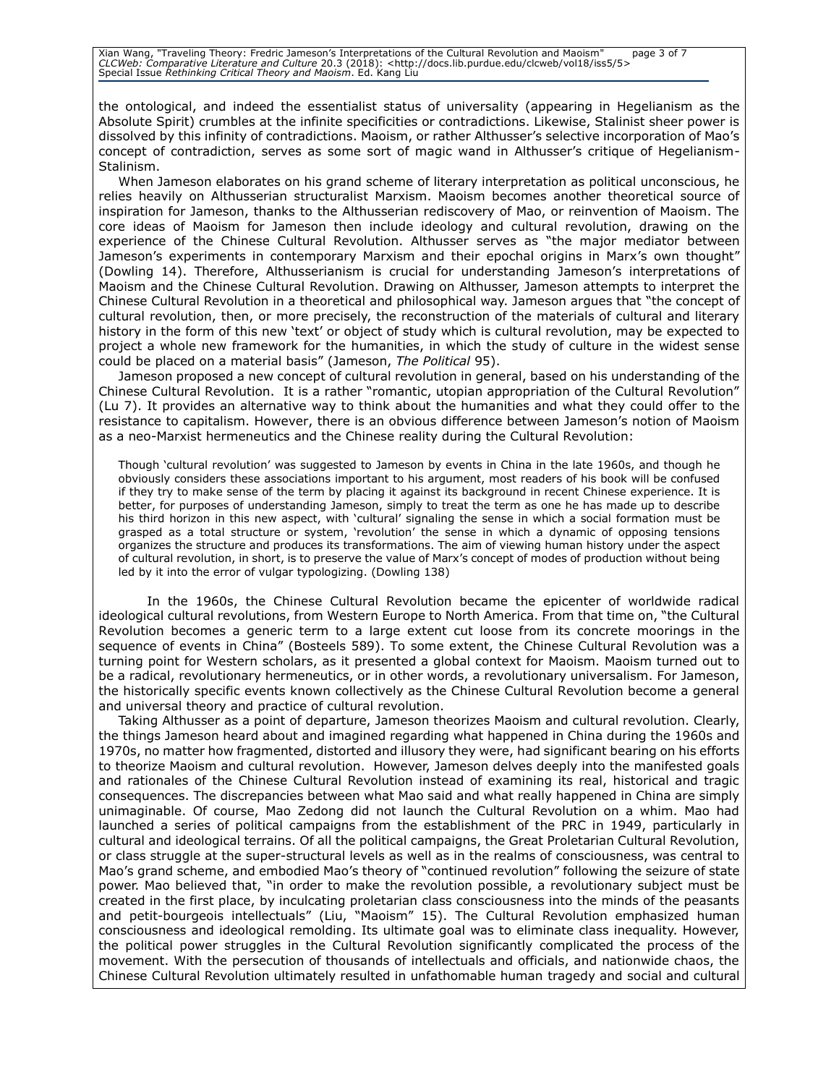Xian Wang, "Traveling Theory: Fredric Jameson's Interpretations of the Cultural Revolution and Maoism" page 3 of 7<br>CLCWeb: Comparative Literature and Culture 20.3 (2018): <http://docs.lib.purdue.edu/clcweb/vol18/iss5/5><br>

the ontological, and indeed the essentialist status of universality (appearing in Hegelianism as the Absolute Spirit) crumbles at the infinite specificities or contradictions. Likewise, Stalinist sheer power is dissolved by this infinity of contradictions. Maoism, or rather Althusser's selective incorporation of Mao's concept of contradiction, serves as some sort of magic wand in Althusser's critique of Hegelianism-Stalinism.

When Jameson elaborates on his grand scheme of literary interpretation as political unconscious, he relies heavily on Althusserian structuralist Marxism. Maoism becomes another theoretical source of inspiration for Jameson, thanks to the Althusserian rediscovery of Mao, or reinvention of Maoism. The core ideas of Maoism for Jameson then include ideology and cultural revolution, drawing on the experience of the Chinese Cultural Revolution. Althusser serves as "the major mediator between Jameson's experiments in contemporary Marxism and their epochal origins in Marx's own thought" (Dowling 14). Therefore, Althusserianism is crucial for understanding Jameson's interpretations of Maoism and the Chinese Cultural Revolution. Drawing on Althusser, Jameson attempts to interpret the Chinese Cultural Revolution in a theoretical and philosophical way. Jameson argues that "the concept of cultural revolution, then, or more precisely, the reconstruction of the materials of cultural and literary history in the form of this new 'text' or object of study which is cultural revolution, may be expected to project a whole new framework for the humanities, in which the study of culture in the widest sense could be placed on a material basis" (Jameson, *The Political* 95).

Jameson proposed a new concept of cultural revolution in general, based on his understanding of the Chinese Cultural Revolution. It is a rather "romantic, utopian appropriation of the Cultural Revolution" (Lu 7). It provides an alternative way to think about the humanities and what they could offer to the resistance to capitalism. However, there is an obvious difference between Jameson's notion of Maoism as a neo-Marxist hermeneutics and the Chinese reality during the Cultural Revolution:

Though 'cultural revolution' was suggested to Jameson by events in China in the late 1960s, and though he obviously considers these associations important to his argument, most readers of his book will be confused if they try to make sense of the term by placing it against its background in recent Chinese experience. It is better, for purposes of understanding Jameson, simply to treat the term as one he has made up to describe his third horizon in this new aspect, with 'cultural' signaling the sense in which a social formation must be grasped as a total structure or system, 'revolution' the sense in which a dynamic of opposing tensions organizes the structure and produces its transformations. The aim of viewing human history under the aspect of cultural revolution, in short, is to preserve the value of Marx's concept of modes of production without being led by it into the error of vulgar typologizing. (Dowling 138)

In the 1960s, the Chinese Cultural Revolution became the epicenter of worldwide radical ideological cultural revolutions, from Western Europe to North America. From that time on, "the Cultural Revolution becomes a generic term to a large extent cut loose from its concrete moorings in the sequence of events in China" (Bosteels 589). To some extent, the Chinese Cultural Revolution was a turning point for Western scholars, as it presented a global context for Maoism. Maoism turned out to be a radical, revolutionary hermeneutics, or in other words, a revolutionary universalism. For Jameson, the historically specific events known collectively as the Chinese Cultural Revolution become a general and universal theory and practice of cultural revolution.

Taking Althusser as a point of departure, Jameson theorizes Maoism and cultural revolution. Clearly, the things Jameson heard about and imagined regarding what happened in China during the 1960s and 1970s, no matter how fragmented, distorted and illusory they were, had significant bearing on his efforts to theorize Maoism and cultural revolution. However, Jameson delves deeply into the manifested goals and rationales of the Chinese Cultural Revolution instead of examining its real, historical and tragic consequences. The discrepancies between what Mao said and what really happened in China are simply unimaginable. Of course, Mao Zedong did not launch the Cultural Revolution on a whim. Mao had launched a series of political campaigns from the establishment of the PRC in 1949, particularly in cultural and ideological terrains. Of all the political campaigns, the Great Proletarian Cultural Revolution, or class struggle at the super-structural levels as well as in the realms of consciousness, was central to Mao's grand scheme, and embodied Mao's theory of "continued revolution" following the seizure of state power. Mao believed that, "in order to make the revolution possible, a revolutionary subject must be created in the first place, by inculcating proletarian class consciousness into the minds of the peasants and petit-bourgeois intellectuals" (Liu, "Maoism" 15). The Cultural Revolution emphasized human consciousness and ideological remolding. Its ultimate goal was to eliminate class inequality. However, the political power struggles in the Cultural Revolution significantly complicated the process of the movement. With the persecution of thousands of intellectuals and officials, and nationwide chaos, the Chinese Cultural Revolution ultimately resulted in unfathomable human tragedy and social and cultural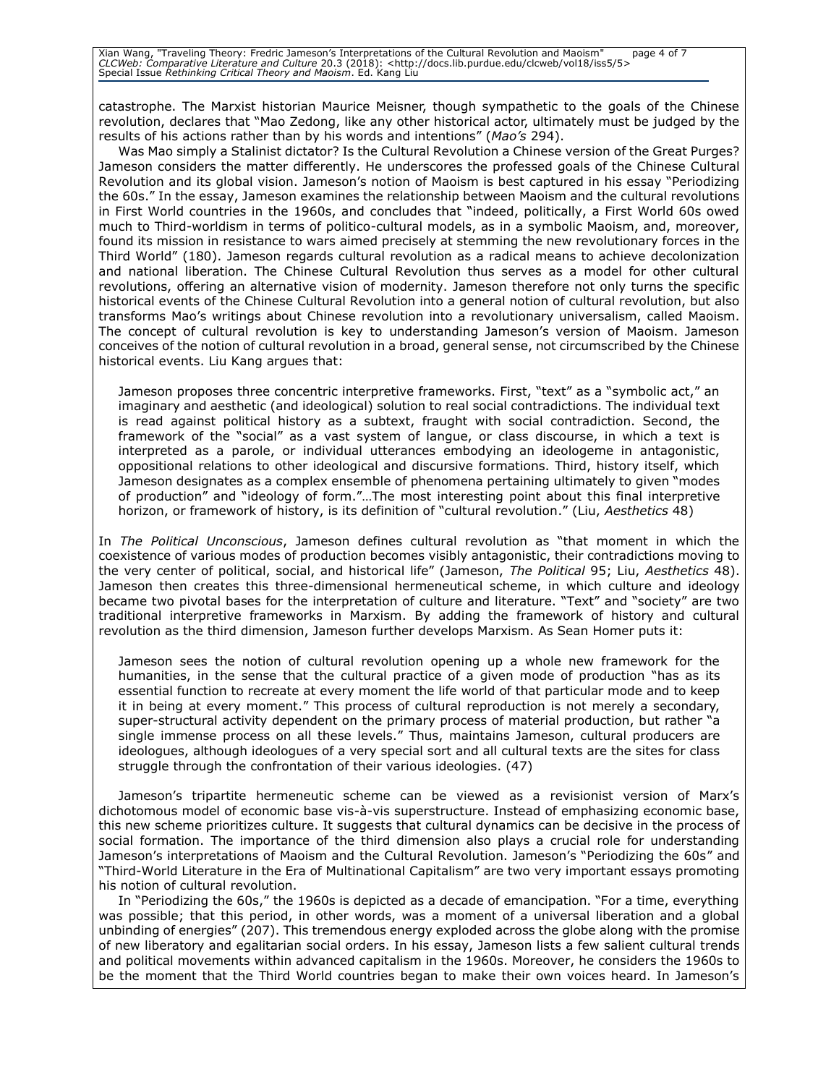Xian Wang, "Traveling Theory: Fredric Jameson's Interpretations of the Cultural Revolution and Maoism" page 4 of 7<br>CLCWeb: Comparative Literature and Culture 20.3 (2018): <http://docs.lib.purdue.edu/clcweb/vol18/iss5/5><br>

catastrophe. The Marxist historian Maurice Meisner, though sympathetic to the goals of the Chinese revolution, declares that "Mao Zedong, like any other historical actor, ultimately must be judged by the results of his actions rather than by his words and intentions" (*Mao's* 294).

Was Mao simply a Stalinist dictator? Is the Cultural Revolution a Chinese version of the Great Purges? Jameson considers the matter differently. He underscores the professed goals of the Chinese Cultural Revolution and its global vision. Jameson's notion of Maoism is best captured in his essay "Periodizing the 60s." In the essay, Jameson examines the relationship between Maoism and the cultural revolutions in First World countries in the 1960s, and concludes that "indeed, politically, a First World 60s owed much to Third-worldism in terms of politico-cultural models, as in a symbolic Maoism, and, moreover, found its mission in resistance to wars aimed precisely at stemming the new revolutionary forces in the Third World" (180). Jameson regards cultural revolution as a radical means to achieve decolonization and national liberation. The Chinese Cultural Revolution thus serves as a model for other cultural revolutions, offering an alternative vision of modernity. Jameson therefore not only turns the specific historical events of the Chinese Cultural Revolution into a general notion of cultural revolution, but also transforms Mao's writings about Chinese revolution into a revolutionary universalism, called Maoism. The concept of cultural revolution is key to understanding Jameson's version of Maoism. Jameson conceives of the notion of cultural revolution in a broad, general sense, not circumscribed by the Chinese historical events. Liu Kang argues that:

Jameson proposes three concentric interpretive frameworks. First, "text" as a "symbolic act," an imaginary and aesthetic (and ideological) solution to real social contradictions. The individual text is read against political history as a subtext, fraught with social contradiction. Second, the framework of the "social" as a vast system of langue, or class discourse, in which a text is interpreted as a parole, or individual utterances embodying an ideologeme in antagonistic, oppositional relations to other ideological and discursive formations. Third, history itself, which Jameson designates as a complex ensemble of phenomena pertaining ultimately to given "modes of production" and "ideology of form."…The most interesting point about this final interpretive horizon, or framework of history, is its definition of "cultural revolution." (Liu, *Aesthetics* 48)

In *The Political Unconscious*, Jameson defines cultural revolution as "that moment in which the coexistence of various modes of production becomes visibly antagonistic, their contradictions moving to the very center of political, social, and historical life" (Jameson, *The Political* 95; Liu, *Aesthetics* 48). Jameson then creates this three-dimensional hermeneutical scheme, in which culture and ideology became two pivotal bases for the interpretation of culture and literature. "Text" and "society" are two traditional interpretive frameworks in Marxism. By adding the framework of history and cultural revolution as the third dimension, Jameson further develops Marxism. As Sean Homer puts it:

Jameson sees the notion of cultural revolution opening up a whole new framework for the humanities, in the sense that the cultural practice of a given mode of production "has as its essential function to recreate at every moment the life world of that particular mode and to keep it in being at every moment." This process of cultural reproduction is not merely a secondary, super-structural activity dependent on the primary process of material production, but rather "a single immense process on all these levels." Thus, maintains Jameson, cultural producers are ideologues, although ideologues of a very special sort and all cultural texts are the sites for class struggle through the confrontation of their various ideologies. (47)

Jameson's tripartite hermeneutic scheme can be viewed as a revisionist version of Marx's dichotomous model of economic base vis-à-vis superstructure. Instead of emphasizing economic base, this new scheme prioritizes culture. It suggests that cultural dynamics can be decisive in the process of social formation. The importance of the third dimension also plays a crucial role for understanding Jameson's interpretations of Maoism and the Cultural Revolution. Jameson's "Periodizing the 60s" and "Third-World Literature in the Era of Multinational Capitalism" are two very important essays promoting his notion of cultural revolution.

In "Periodizing the 60s," the 1960s is depicted as a decade of emancipation. "For a time, everything was possible; that this period, in other words, was a moment of a universal liberation and a global unbinding of energies" (207). This tremendous energy exploded across the globe along with the promise of new liberatory and egalitarian social orders. In his essay, Jameson lists a few salient cultural trends and political movements within advanced capitalism in the 1960s. Moreover, he considers the 1960s to be the moment that the Third World countries began to make their own voices heard. In Jameson's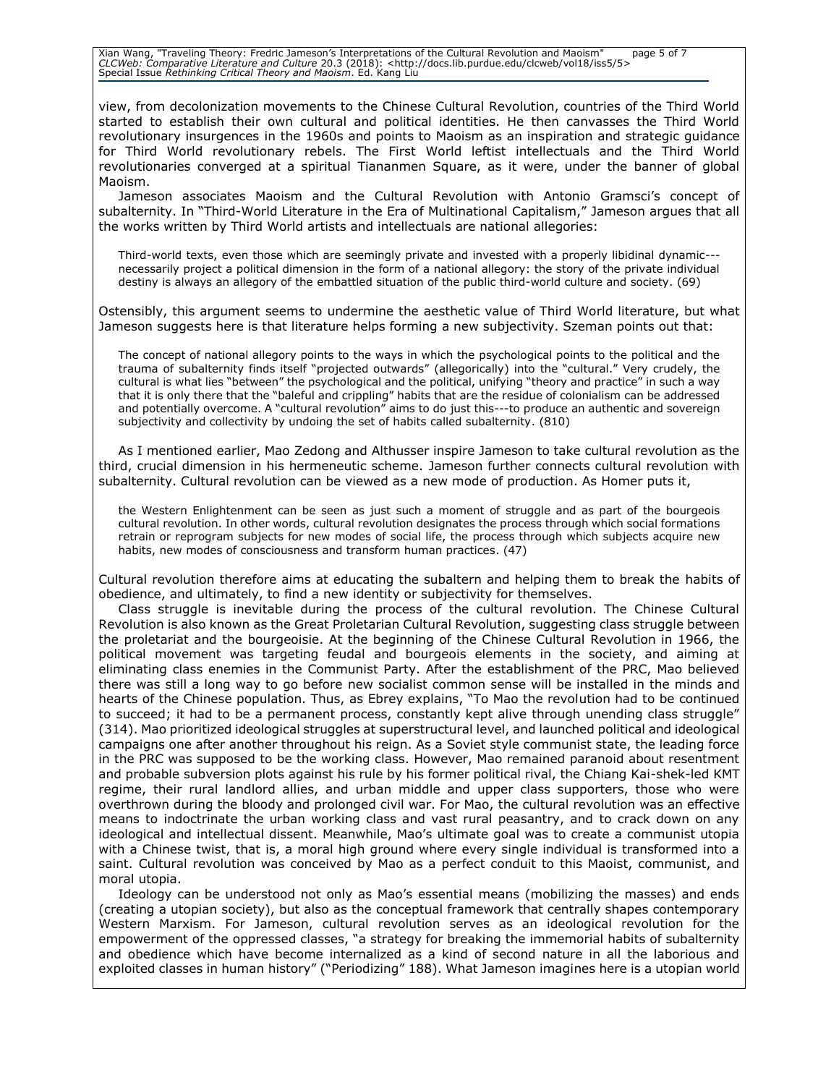Xian Wang, "Traveling Theory: Fredric Jameson's Interpretations of the Cultural Revolution and Maoism" page 5 of 7<br>CLCWeb: Comparative Literature and Culture 20.3 (2018): <http://docs.lib.purdue.edu/clcweb/vol18/iss5/5><br>

view, from decolonization movements to the Chinese Cultural Revolution, countries of the Third World started to establish their own cultural and political identities. He then canvasses the Third World revolutionary insurgences in the 1960s and points to Maoism as an inspiration and strategic guidance for Third World revolutionary rebels. The First World leftist intellectuals and the Third World revolutionaries converged at a spiritual Tiananmen Square, as it were, under the banner of global Maoism.

Jameson associates Maoism and the Cultural Revolution with Antonio Gramsci's concept of subalternity. In "Third-World Literature in the Era of Multinational Capitalism," Jameson argues that all the works written by Third World artists and intellectuals are national allegories:

Third-world texts, even those which are seemingly private and invested with a properly libidinal dynamic-- necessarily project a political dimension in the form of a national allegory: the story of the private individual destiny is always an allegory of the embattled situation of the public third-world culture and society. (69)

Ostensibly, this argument seems to undermine the aesthetic value of Third World literature, but what Jameson suggests here is that literature helps forming a new subjectivity. Szeman points out that:

The concept of national allegory points to the ways in which the psychological points to the political and the trauma of subalternity finds itself "projected outwards" (allegorically) into the "cultural." Very crudely, the cultural is what lies "between" the psychological and the political, unifying "theory and practice" in such a way that it is only there that the "baleful and crippling" habits that are the residue of colonialism can be addressed and potentially overcome. A "cultural revolution" aims to do just this---to produce an authentic and sovereign subjectivity and collectivity by undoing the set of habits called subalternity. (810)

As I mentioned earlier, Mao Zedong and Althusser inspire Jameson to take cultural revolution as the third, crucial dimension in his hermeneutic scheme. Jameson further connects cultural revolution with subalternity. Cultural revolution can be viewed as a new mode of production. As Homer puts it,

the Western Enlightenment can be seen as just such a moment of struggle and as part of the bourgeois cultural revolution. In other words, cultural revolution designates the process through which social formations retrain or reprogram subjects for new modes of social life, the process through which subjects acquire new habits, new modes of consciousness and transform human practices. (47)

Cultural revolution therefore aims at educating the subaltern and helping them to break the habits of obedience, and ultimately, to find a new identity or subjectivity for themselves.

Class struggle is inevitable during the process of the cultural revolution. The Chinese Cultural Revolution is also known as the Great Proletarian Cultural Revolution, suggesting class struggle between the proletariat and the bourgeoisie. At the beginning of the Chinese Cultural Revolution in 1966, the political movement was targeting feudal and bourgeois elements in the society, and aiming at eliminating class enemies in the Communist Party. After the establishment of the PRC, Mao believed there was still a long way to go before new socialist common sense will be installed in the minds and hearts of the Chinese population. Thus, as Ebrey explains, "To Mao the revolution had to be continued to succeed; it had to be a permanent process, constantly kept alive through unending class struggle" (314). Mao prioritized ideological struggles at superstructural level, and launched political and ideological campaigns one after another throughout his reign. As a Soviet style communist state, the leading force in the PRC was supposed to be the working class. However, Mao remained paranoid about resentment and probable subversion plots against his rule by his former political rival, the Chiang Kai-shek-led KMT regime, their rural landlord allies, and urban middle and upper class supporters, those who were overthrown during the bloody and prolonged civil war. For Mao, the cultural revolution was an effective means to indoctrinate the urban working class and vast rural peasantry, and to crack down on any ideological and intellectual dissent. Meanwhile, Mao's ultimate goal was to create a communist utopia with a Chinese twist, that is, a moral high ground where every single individual is transformed into a saint. Cultural revolution was conceived by Mao as a perfect conduit to this Maoist, communist, and moral utopia.

Ideology can be understood not only as Mao's essential means (mobilizing the masses) and ends (creating a utopian society), but also as the conceptual framework that centrally shapes contemporary Western Marxism. For Jameson, cultural revolution serves as an ideological revolution for the empowerment of the oppressed classes, "a strategy for breaking the immemorial habits of subalternity and obedience which have become internalized as a kind of second nature in all the laborious and exploited classes in human history" ("Periodizing" 188). What Jameson imagines here is a utopian world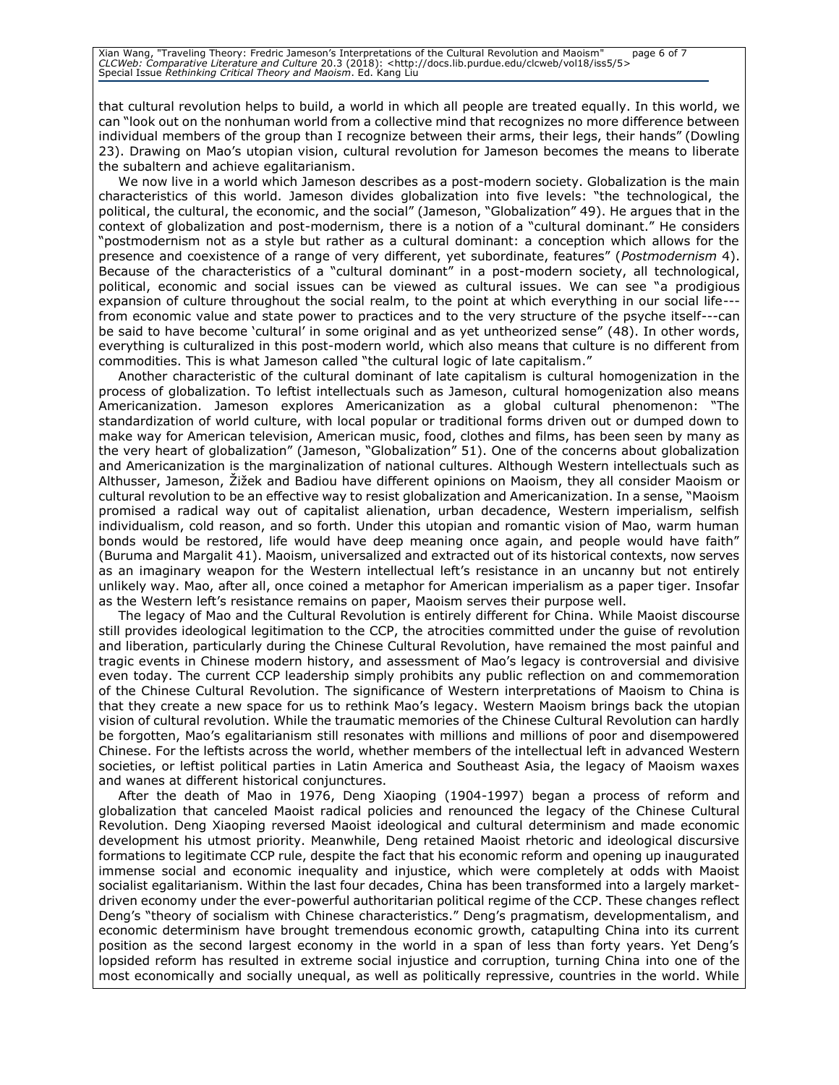Xian Wang, "Traveling Theory: Fredric Jameson's Interpretations of the Cultural Revolution and Maoism" page 6 of 7<br>CLCWeb: Comparative Literature and Culture 20.3 (2018): <http://docs.lib.purdue.edu/clcweb/vol18/iss5/5><br>

that cultural revolution helps to build, a world in which all people are treated equally. In this world, we can "look out on the nonhuman world from a collective mind that recognizes no more difference between individual members of the group than I recognize between their arms, their legs, their hands" (Dowling 23). Drawing on Mao's utopian vision, cultural revolution for Jameson becomes the means to liberate the subaltern and achieve egalitarianism.

We now live in a world which Jameson describes as a post-modern society. Globalization is the main characteristics of this world. Jameson divides globalization into five levels: "the technological, the political, the cultural, the economic, and the social" (Jameson, "Globalization" 49). He argues that in the context of globalization and post-modernism, there is a notion of a "cultural dominant." He considers "postmodernism not as a style but rather as a cultural dominant: a conception which allows for the presence and coexistence of a range of very different, yet subordinate, features" (*Postmodernism* 4). Because of the characteristics of a "cultural dominant" in a post-modern society, all technological, political, economic and social issues can be viewed as cultural issues. We can see "a prodigious expansion of culture throughout the social realm, to the point at which everything in our social life-from economic value and state power to practices and to the very structure of the psyche itself---can be said to have become 'cultural' in some original and as yet untheorized sense" (48). In other words, everything is culturalized in this post-modern world, which also means that culture is no different from commodities. This is what Jameson called "the cultural logic of late capitalism."

Another characteristic of the cultural dominant of late capitalism is cultural homogenization in the process of globalization. To leftist intellectuals such as Jameson, cultural homogenization also means Americanization. Jameson explores Americanization as a global cultural phenomenon: "The standardization of world culture, with local popular or traditional forms driven out or dumped down to make way for American television, American music, food, clothes and films, has been seen by many as the very heart of globalization" (Jameson, "Globalization" 51). One of the concerns about globalization and Americanization is the marginalization of national cultures. Although Western intellectuals such as Althusser, Jameson, Žižek and Badiou have different opinions on Maoism, they all consider Maoism or cultural revolution to be an effective way to resist globalization and Americanization. In a sense, "Maoism promised a radical way out of capitalist alienation, urban decadence, Western imperialism, selfish individualism, cold reason, and so forth. Under this utopian and romantic vision of Mao, warm human bonds would be restored, life would have deep meaning once again, and people would have faith" (Buruma and Margalit 41). Maoism, universalized and extracted out of its historical contexts, now serves as an imaginary weapon for the Western intellectual left's resistance in an uncanny but not entirely unlikely way. Mao, after all, once coined a metaphor for American imperialism as a paper tiger. Insofar as the Western left's resistance remains on paper, Maoism serves their purpose well.

The legacy of Mao and the Cultural Revolution is entirely different for China. While Maoist discourse still provides ideological legitimation to the CCP, the atrocities committed under the guise of revolution and liberation, particularly during the Chinese Cultural Revolution, have remained the most painful and tragic events in Chinese modern history, and assessment of Mao's legacy is controversial and divisive even today. The current CCP leadership simply prohibits any public reflection on and commemoration of the Chinese Cultural Revolution. The significance of Western interpretations of Maoism to China is that they create a new space for us to rethink Mao's legacy. Western Maoism brings back the utopian vision of cultural revolution. While the traumatic memories of the Chinese Cultural Revolution can hardly be forgotten, Mao's egalitarianism still resonates with millions and millions of poor and disempowered Chinese. For the leftists across the world, whether members of the intellectual left in advanced Western societies, or leftist political parties in Latin America and Southeast Asia, the legacy of Maoism waxes and wanes at different historical conjunctures.

After the death of Mao in 1976, Deng Xiaoping (1904-1997) began a process of reform and globalization that canceled Maoist radical policies and renounced the legacy of the Chinese Cultural Revolution. Deng Xiaoping reversed Maoist ideological and cultural determinism and made economic development his utmost priority. Meanwhile, Deng retained Maoist rhetoric and ideological discursive formations to legitimate CCP rule, despite the fact that his economic reform and opening up inaugurated immense social and economic inequality and injustice, which were completely at odds with Maoist socialist egalitarianism. Within the last four decades, China has been transformed into a largely marketdriven economy under the ever-powerful authoritarian political regime of the CCP. These changes reflect Deng's "theory of socialism with Chinese characteristics." Deng's pragmatism, developmentalism, and economic determinism have brought tremendous economic growth, catapulting China into its current position as the second largest economy in the world in a span of less than forty years. Yet Deng's lopsided reform has resulted in extreme social injustice and corruption, turning China into one of the most economically and socially unequal, as well as politically repressive, countries in the world. While